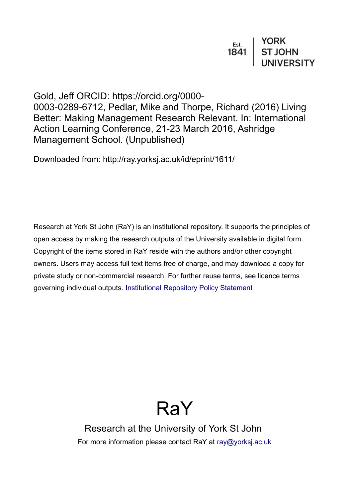| Est. | <b>YORK</b>    |
|------|----------------|
| 1841 | <b>ST JOHN</b> |
|      | UNIVERSITY     |

Gold, Jeff ORCID: https://orcid.org/0000- 0003-0289-6712, Pedlar, Mike and Thorpe, Richard (2016) Living Better: Making Management Research Relevant. In: International Action Learning Conference, 21-23 March 2016, Ashridge Management School. (Unpublished)

Downloaded from: http://ray.yorksj.ac.uk/id/eprint/1611/

Research at York St John (RaY) is an institutional repository. It supports the principles of open access by making the research outputs of the University available in digital form. Copyright of the items stored in RaY reside with the authors and/or other copyright owners. Users may access full text items free of charge, and may download a copy for private study or non-commercial research. For further reuse terms, see licence terms governing individual outputs. [Institutional Repository Policy Statement](https://www.yorksj.ac.uk/ils/repository-policies/)

# RaY

Research at the University of York St John For more information please contact RaY at [ray@yorksj.ac.uk](mailto:ray@yorksj.ac.uk)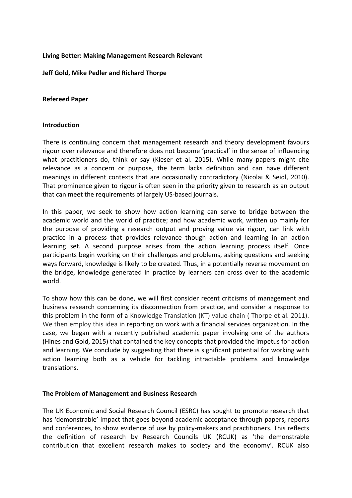## **Living Better: Making Management Research Relevant**

### **Jeff Gold, Mike Pedler and Richard Thorpe**

### **Refereed Paper**

#### **Introduction**

There is continuing concern that management research and theory development favours rigour over relevance and therefore does not become 'practical' in the sense of influencing what practitioners do, think or say (Kieser et al. 2015). While many papers might cite relevance as a concern or purpose, the term lacks definition and can have different meanings in different contexts that are occasionally contradictory (Nicolai & Seidl, 2010). That prominence given to rigour is often seen in the priority given to research as an output that can meet the requirements of largely US-based journals.

In this paper, we seek to show how action learning can serve to bridge between the academic world and the world of practice; and how academic work, written up mainly for the purpose of providing a research output and proving value via rigour, can link with practice in a process that provides relevance though action and learning in an action learning set. A second purpose arises from the action learning process itself. Once participants begin working on their challenges and problems, asking questions and seeking ways forward, knowledge is likely to be created. Thus, in a potentially reverse movement on the bridge, knowledge generated in practice by learners can cross over to the academic world.

To show how this can be done, we will first consider recent critcisms of management and business research concerning its disconnection from practice, and consider a response to this problem in the form of a Knowledge Translation (KT) value-chain ( Thorpe et al. 2011). We then employ this idea in reporting on work with a financial services organization. In the case, we began with a recently published academic paper involving one of the authors (Hines and Gold, 2015) that contained the key concepts that provided the impetus for action and learning. We conclude by suggesting that there is significant potential for working with action learning both as a vehicle for tackling intractable problems and knowledge translations.

## **The Problem of Management and Business Research**

The UK Economic and Social Research Council (ESRC) has sought to promote research that has 'demonstrable' impact that goes beyond academic acceptance through papers, reports and conferences, to show evidence of use by policy-makers and practitioners. This reflects the definition of research by Research Councils UK (RCUK) as 'the demonstrable contribution that excellent research makes to society and the economy'. RCUK also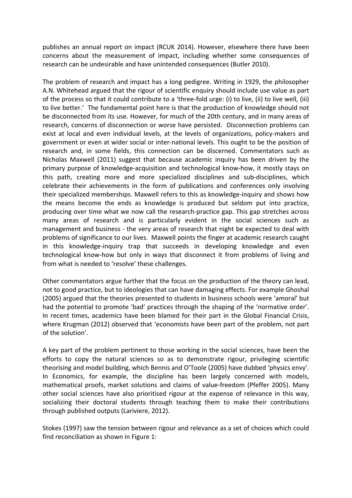publishes an annual report on impact (RCUK 2014). However, elsewhere there have been concerns about the measurement of impact, including whether some consequences of research can be undesirable and have unintended consequences (Butler 2010).

The problem of research and impact has a long pedigree. Writing in 1929, the philosopher A.N. Whitehead argued that the rigour of scientific enquiry should include use value as part of the process so that it could contribute to a 'three-fold urge: (i) to live, (ii) to live well, (iii) to live better.' The fundamental point here is that the production of knowledge should not be disconnected from its use. However, for much of the 20th century, and in many areas of research, concerns of disconnection or worse have persisted. Disconnection problems can exist at local and even individual levels, at the levels of organizations, policy-makers and government or even at wider social or inter-national levels. This ought to be the position of research and, in some fields, this connection can be discerned. Commentators such as Nicholas Maxwell (2011) suggest that because academic inquiry has been driven by the primary purpose of knowledge-acquisition and technological know-how, it mostly stays on this path, creating more and more specialized disciplines and sub-disciplines, which celebrate their achievements in the form of publications and conferences only involving their specialized memberships. Maxwell refers to this as knowledge-inquiry and shows how the means become the ends as knowledge is produced but seldom put into practice, producing over time what we now call the research-practice gap. This gap stretches across many areas of research and is particularly evident in the social sciences such as management and business - the very areas of research that night be expected to deal with problems of significance to our lives. Maxwell points the finger at academic research caught in this knowledge-inquiry trap that succeeds in developing knowledge and even technological know-how but only in ways that disconnect it from problems of living and from what is needed to 'resolve' these challenges.

Other commentators argue further that the focus on the production of the theory can lead, not to good practice, but to ideologies that can have damaging effects. For example Ghoshal (2005) argued that the theories presented to students in business schools were 'amoral' but had the potential to promote 'bad' practices through the shaping of the 'normative order'. In recent times, academics have been blamed for their part in the Global Financial Crisis, where Krugman (2012) observed that 'economists have been part of the problem, not part of the solution'.

A key part of the problem pertinent to those working in the social sciences, have been the efforts to copy the natural sciences so as to demonstrate rigour, privileging scientific theorising and model building, which Bennis and O'Toole (2005) have dubbed 'physics envy'. In Economics, for example, the discipline has been largely concerned with models, mathematical proofs, market solutions and claims of value-freedom (Pfeffer 2005). Many other social sciences have also prioritised rigour at the expense of relevance in this way, socializing their doctoral students through teaching them to make their contributions through published outputs (Lariviere, 2012).

Stokes (1997) saw the tension between rigour and relevance as a set of choices which could find reconciliation as shown in Figure 1: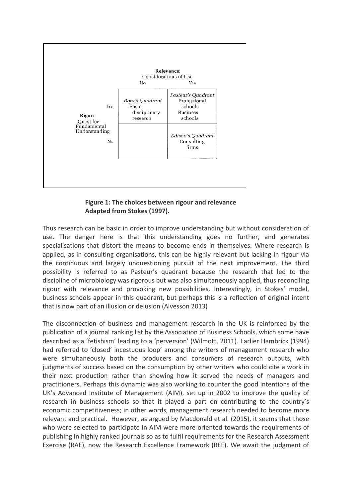

**Figure 1: The choices between rigour and relevance Adapted from Stokes (1997).** 

Thus research can be basic in order to improve understanding but without consideration of use. The danger here is that this understanding goes no further, and generates specialisations that distort the means to become ends in themselves. Where research is applied, as in consulting organisations, this can be highly relevant but lacking in rigour via the continuous and largely unquestioning pursuit of the next improvement. The third possibility is referred to as Pasteur's quadrant because the research that led to the discipline of microbiology was rigorous but was also simultaneously applied, thus reconciling rigour with relevance and provoking new possibilities. Interestingly, in Stokes' model, business schools appear in this quadrant, but perhaps this is a reflection of original intent that is now part of an illusion or delusion (Alvesson 2013)

The disconnection of business and management research in the UK is reinforced by the publication of a journal ranking list by the Association of Business Schools, which some have described as a 'fetishism' leading to a 'perversion' (Wilmott, 2011). Earlier Hambrick (1994) had referred to 'closed' incestuous loop' among the writers of management research who were simultaneously both the producers and consumers of research outputs, with judgments of success based on the consumption by other writers who could cite a work in their next production rather than showing how it served the needs of managers and practitioners. Perhaps this dynamic was also working to counter the good intentions of the UK's Advanced Institute of Management (AIM), set up in 2002 to improve the quality of research in business schools so that it played a part on contributing to the country's economic competitiveness; in other words, management research needed to become more relevant and practical. However, as argued by Macdonald et al. (2015), it seems that those who were selected to participate in AIM were more oriented towards the requirements of publishing in highly ranked journals so as to fulfil requirements for the Research Assessment Exercise (RAE), now the Research Excellence Framework (REF). We await the judgment of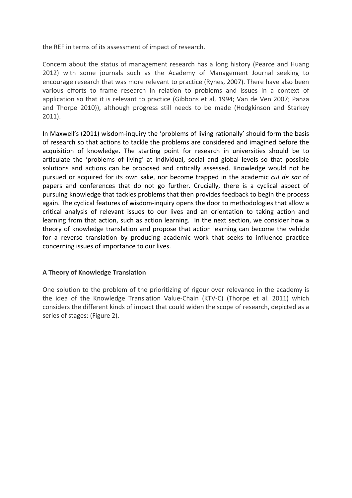the REF in terms of its assessment of impact of research.

Concern about the status of management research has a long history (Pearce and Huang 2012) with some journals such as the Academy of Management Journal seeking to encourage research that was more relevant to practice (Rynes, 2007). There have also been various efforts to frame research in relation to problems and issues in a context of application so that it is relevant to practice (Gibbons et al, 1994; Van de Ven 2007; Panza and Thorpe 2010)), although progress still needs to be made (Hodgkinson and Starkey 2011).

In Maxwell's (2011) wisdom-inquiry the 'problems of living rationally' should form the basis of research so that actions to tackle the problems are considered and imagined before the acquisition of knowledge. The starting point for research in universities should be to articulate the 'problems of living' at individual, social and global levels so that possible solutions and actions can be proposed and critically assessed. Knowledge would not be pursued or acquired for its own sake, nor become trapped in the academic *cul de sac* of papers and conferences that do not go further. Crucially, there is a cyclical aspect of pursuing knowledge that tackles problems that then provides feedback to begin the process again. The cyclical features of wisdom-inquiry opens the door to methodologies that allow a critical analysis of relevant issues to our lives and an orientation to taking action and learning from that action, such as action learning. In the next section, we consider how a theory of knowledge translation and propose that action learning can become the vehicle for a reverse translation by producing academic work that seeks to influence practice concerning issues of importance to our lives.

## **A Theory of Knowledge Translation**

One solution to the problem of the prioritizing of rigour over relevance in the academy is the idea of the Knowledge Translation Value-Chain (KTV-C) (Thorpe et al. 2011) which considers the different kinds of impact that could widen the scope of research, depicted as a series of stages: (Figure 2).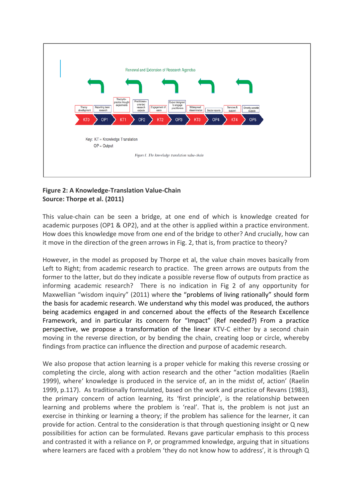

## **Figure 2: A Knowledge-Translation Value-Chain Source: Thorpe et al. (2011)**

This value-chain can be seen a bridge, at one end of which is knowledge created for academic purposes (OP1 & OP2), and at the other is applied within a practice environment. How does this knowledge move from one end of the bridge to other? And crucially, how can it move in the direction of the green arrows in Fig. 2, that is, from practice to theory?

However, in the model as proposed by Thorpe et al, the value chain moves basically from Left to Right; from academic research to practice. The green arrows are outputs from the former to the latter, but do they indicate a possible reverse flow of outputs from practice as informing academic research? There is no indication in Fig 2 of any opportunity for Maxwellian "wisdom inquiry" (2011) where the "problems of living rationally" should form the basis for academic research. We understand why this model was produced, the authors being academics engaged in and concerned about the effects of the Research Excellence Framework, and in particular its concern for "Impact" (Ref needed?) From a practice perspective, we propose a transformation of the linear KTV-C either by a second chain moving in the reverse direction, or by bending the chain, creating loop or circle, whereby findings from practice can influence the direction and purpose of academic research.

We also propose that action learning is a proper vehicle for making this reverse crossing or completing the circle, along with action research and the other "action modalities (Raelin 1999), where' knowledge is produced in the service of, an in the midst of, action' (Raelin 1999, p.117). As traditionally formulated, based on the work and practice of Revans (1983), the primary concern of action learning, its 'first principle', is the relationship between learning and problems where the problem is 'real'. That is, the problem is not just an exercise in thinking or learning a theory; if the problem has salience for the learner, it can provide for action. Central to the consideration is that through questioning insight or Q new possibilities for action can be formulated. Revans gave particular emphasis to this process and contrasted it with a reliance on P, or programmed knowledge, arguing that in situations where learners are faced with a problem 'they do not know how to address', it is through Q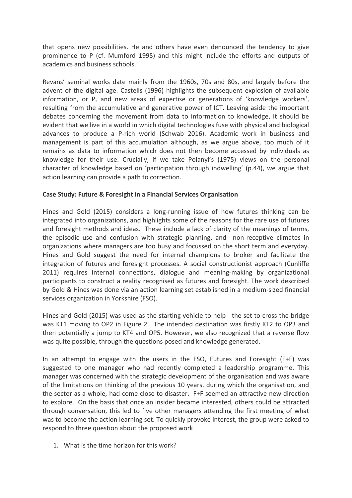that opens new possibilities. He and others have even denounced the tendency to give prominence to P (cf. Mumford 1995) and this might include the efforts and outputs of academics and business schools.

Revans' seminal works date mainly from the 1960s, 70s and 80s, and largely before the advent of the digital age. Castells (1996) highlights the subsequent explosion of available information, or P, and new areas of expertise or generations of 'knowledge workers', resulting from the accumulative and generative power of ICT. Leaving aside the important debates concerning the movement from data to information to knowledge, it should be evident that we live in a world in which digital technologies fuse with physical and biological advances to produce a P-rich world (Schwab 2016). Academic work in business and management is part of this accumulation although, as we argue above, too much of it remains as data to information which does not then become accessed by individuals as knowledge for their use. Crucially, if we take Polanyi's (1975) views on the personal character of knowledge based on 'participation through indwelling' (p.44), we argue that action learning can provide a path to correction.

## **Case Study: Future & Foresight in a Financial Services Organisation**

Hines and Gold (2015) considers a long-running issue of how futures thinking can be integrated into organizations, and highlights some of the reasons for the rare use of futures and foresight methods and ideas. These include a lack of clarity of the meanings of terms, the episodic use and confusion with strategic planning, and non-receptive climates in organizations where managers are too busy and focussed on the short term and everyday. Hines and Gold suggest the need for internal champions to broker and facilitate the integration of futures and foresight processes. A social constructionist approach (Cunliffe 2011) requires internal connections, dialogue and meaning-making by organizational participants to construct a reality recognised as futures and foresight. The work described by Gold & Hines was done via an action learning set established in a medium-sized financial services organization in Yorkshire (FSO).

Hines and Gold (2015) was used as the starting vehicle to help the set to cross the bridge was KT1 moving to OP2 in Figure 2. The intended destination was firstly KT2 to OP3 and then potentially a jump to KT4 and OP5. However, we also recognized that a reverse flow was quite possible, through the questions posed and knowledge generated.

In an attempt to engage with the users in the FSO, Futures and Foresight (F+F) was suggested to one manager who had recently completed a leadership programme. This manager was concerned with the strategic development of the organisation and was aware of the limitations on thinking of the previous 10 years, during which the organisation, and the sector as a whole, had come close to disaster. F+F seemed an attractive new direction to explore. On the basis that once an insider became interested, others could be attracted through conversation, this led to five other managers attending the first meeting of what was to become the action learning set. To quickly provoke interest, the group were asked to respond to three question about the proposed work

1. What is the time horizon for this work?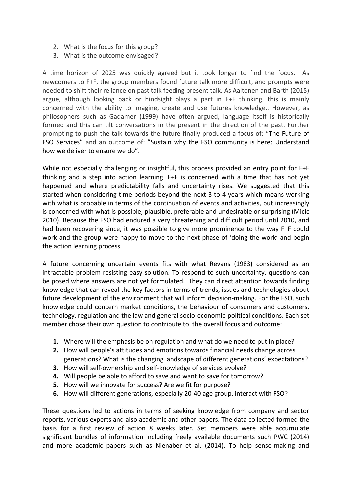- 2. What is the focus for this group?
- 3. What is the outcome envisaged?

A time horizon of 2025 was quickly agreed but it took longer to find the focus. As newcomers to F+F, the group members found future talk more difficult, and prompts were needed to shift their reliance on past talk feeding present talk. As Aaltonen and Barth (2015) argue, although looking back or hindsight plays a part in F+F thinking, this is mainly concerned with the ability to imagine, create and use futures knowledge.. However, as philosophers such as Gadamer (1999) have often argued, language itself is historically formed and this can tilt conversations in the present in the direction of the past. Further prompting to push the talk towards the future finally produced a focus of: "The Future of FSO Services" and an outcome of: "Sustain why the FSO community is here: Understand how we deliver to ensure we do".

While not especially challenging or insightful, this process provided an entry point for F+F thinking and a step into action learning. F+F is concerned with a time that has not yet happened and where predictability falls and uncertainty rises. We suggested that this started when considering time periods beyond the next 3 to 4 years which means working with what is probable in terms of the continuation of events and activities, but increasingly is concerned with what is possible, plausible, preferable and undesirable or surprising (Micic 2010). Because the FSO had endured a very threatening and difficult period until 2010, and had been recovering since, it was possible to give more prominence to the way F+F could work and the group were happy to move to the next phase of 'doing the work' and begin the action learning process

A future concerning uncertain events fits with what Revans (1983) considered as an intractable problem resisting easy solution. To respond to such uncertainty, questions can be posed where answers are not yet formulated. They can direct attention towards finding knowledge that can reveal the key factors in terms of trends, issues and technologies about future development of the environment that will inform decision-making. For the FSO, such knowledge could concern market conditions, the behaviour of consumers and customers, technology, regulation and the law and general socio-economic-political conditions. Each set member chose their own question to contribute to the overall focus and outcome:

- **1.** Where will the emphasis be on regulation and what do we need to put in place?
- **2.** How will people's attitudes and emotions towards financial needs change across generations? What is the changing landscape of different generations' expectations?
- **3.** How will self-ownership and self-knowledge of services evolve?
- **4.** Will people be able to afford to save and want to save for tomorrow?
- **5.** How will we innovate for success? Are we fit for purpose?
- **6.** How will different generations, especially 20-40 age group, interact with FSO?

These questions led to actions in terms of seeking knowledge from company and sector reports, various experts and also academic and other papers. The data collected formed the basis for a first review of action 8 weeks later. Set members were able accumulate significant bundles of information including freely available documents such PWC (2014) and more academic papers such as Nienaber et al. (2014). To help sense-making and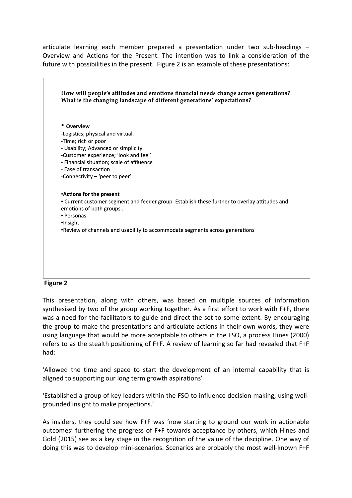articulate learning each member prepared a presentation under two sub-headings – Overview and Actions for the Present. The intention was to link a consideration of the future with possibilities in the present. Figure 2 is an example of these presentations:



#### **Figure 2**

This presentation, along with others, was based on multiple sources of information synthesised by two of the group working together. As a first effort to work with F+F, there was a need for the facilitators to guide and direct the set to some extent. By encouraging the group to make the presentations and articulate actions in their own words, they were using language that would be more acceptable to others in the FSO, a process Hines (2000) refers to as the stealth positioning of F+F. A review of learning so far had revealed that F+F had:

'Allowed the time and space to start the development of an internal capability that is aligned to supporting our long term growth aspirations'

'Established a group of key leaders within the FSO to influence decision making, using wellgrounded insight to make projections.'

As insiders, they could see how F+F was 'now starting to ground our work in actionable outcomes' furthering the progress of F+F towards acceptance by others, which Hines and Gold (2015) see as a key stage in the recognition of the value of the discipline. One way of doing this was to develop mini-scenarios. Scenarios are probably the most well-known F+F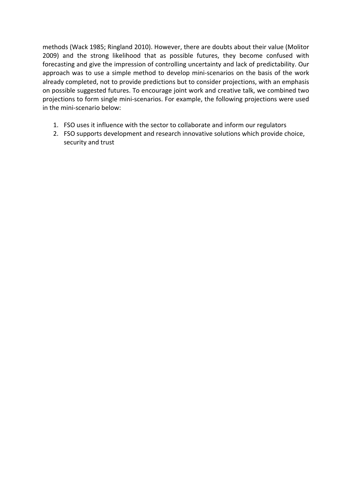methods (Wack 1985; Ringland 2010). However, there are doubts about their value (Molitor 2009) and the strong likelihood that as possible futures, they become confused with forecasting and give the impression of controlling uncertainty and lack of predictability. Our approach was to use a simple method to develop mini-scenarios on the basis of the work already completed, not to provide predictions but to consider projections, with an emphasis on possible suggested futures. To encourage joint work and creative talk, we combined two projections to form single mini-scenarios. For example, the following projections were used in the mini-scenario below:

- 1. FSO uses it influence with the sector to collaborate and inform our regulators
- 2. FSO supports development and research innovative solutions which provide choice, security and trust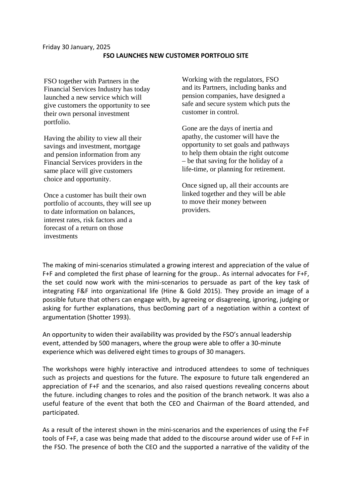FSO together with Partners in the Financial Services Industry has today launched a new service which will give customers the opportunity to see their own personal investment portfolio.

Having the ability to view all their savings and investment, mortgage and pension information from any Financial Services providers in the same place will give customers choice and opportunity.

Once a customer has built their own portfolio of accounts, they will see up to date information on balances, interest rates, risk factors and a forecast of a return on those investments

Working with the regulators, FSO and its Partners, including banks and pension companies, have designed a safe and secure system which puts the customer in control.

Gone are the days of inertia and apathy, the customer will have the opportunity to set goals and pathways to help them obtain the right outcome – be that saving for the holiday of a life-time, or planning for retirement.

Once signed up, all their accounts are linked together and they will be able to move their money between providers.

The making of mini-scenarios stimulated a growing interest and appreciation of the value of F+F and completed the first phase of learning for the group.. As internal advocates for F+F, the set could now work with the mini-scenarios to persuade as part of the key task of integrating F&F into organizational life (Hine & Gold 2015). They provide an image of a possible future that others can engage with, by agreeing or disagreeing, ignoring, judging or asking for further explanations, thus bec0oming part of a negotiation within a context of argumentation (Shotter 1993).

An opportunity to widen their availability was provided by the FSO's annual leadership event, attended by 500 managers, where the group were able to offer a 30-minute experience which was delivered eight times to groups of 30 managers.

The workshops were highly interactive and introduced attendees to some of techniques such as projects and questions for the future. The exposure to future talk engendered an appreciation of F+F and the scenarios, and also raised questions revealing concerns about the future. including changes to roles and the position of the branch network. It was also a useful feature of the event that both the CEO and Chairman of the Board attended, and participated.

As a result of the interest shown in the mini-scenarios and the experiences of using the F+F tools of F+F, a case was being made that added to the discourse around wider use of F+F in the FSO. The presence of both the CEO and the supported a narrative of the validity of the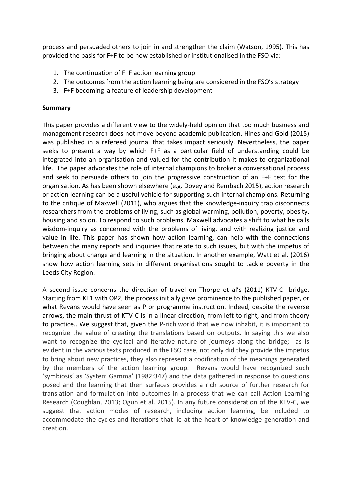process and persuaded others to join in and strengthen the claim (Watson, 1995). This has provided the basis for F+F to be now established or institutionalised in the FSO via:

- 1. The continuation of F+F action learning group
- 2. The outcomes from the action learning being are considered in the FSO's strategy
- 3. F+F becoming a feature of leadership development

## **Summary**

This paper provides a different view to the widely-held opinion that too much business and management research does not move beyond academic publication. Hines and Gold (2015) was published in a refereed journal that takes impact seriously. Nevertheless, the paper seeks to present a way by which F+F as a particular field of understanding could be integrated into an organisation and valued for the contribution it makes to organizational life. The paper advocates the role of internal champions to broker a conversational process and seek to persuade others to join the progressive construction of an F+F text for the organisation. As has been shown elsewhere (e.g. Dovey and Rembach 2015), action research or action learning can be a useful vehicle for supporting such internal champions. Returning to the critique of Maxwell (2011), who argues that the knowledge-inquiry trap disconnects researchers from the problems of living, such as global warming, pollution, poverty, obesity, housing and so on. To respond to such problems, Maxwell advocates a shift to what he calls wisdom-inquiry as concerned with the problems of living, and with realizing justice and value in life. This paper has shown how action learning, can help with the connections between the many reports and inquiries that relate to such issues, but with the impetus of bringing about change and learning in the situation. In another example, Watt et al. (2016) show how action learning sets in different organisations sought to tackle poverty in the Leeds City Region.

A second issue concerns the direction of travel on Thorpe et al's (2011) KTV-C bridge. Starting from KT1 with OP2, the process initially gave prominence to the published paper, or what Revans would have seen as P or programme instruction. Indeed, despite the reverse arrows, the main thrust of KTV-C is in a linear direction, from left to right, and from theory to practice.. We suggest that, given the P-rich world that we now inhabit, it is important to recognize the value of creating the translations based on outputs. In saying this we also want to recognize the cyclical and iterative nature of journeys along the bridge; as is evident in the various texts produced in the FSO case, not only did they provide the impetus to bring about new practices, they also represent a codification of the meanings generated by the members of the action learning group. Revans would have recognized such 'symbiosis' as 'System Gamma' (1982:347) and the data gathered in response to questions posed and the learning that then surfaces provides a rich source of further research for translation and formulation into outcomes in a process that we can call Action Learning Research (Coughlan, 2013; Ogun et al. 2015). In any future consideration of the KTV-C, we suggest that action modes of research, including action learning, be included to accommodate the cycles and iterations that lie at the heart of knowledge generation and creation.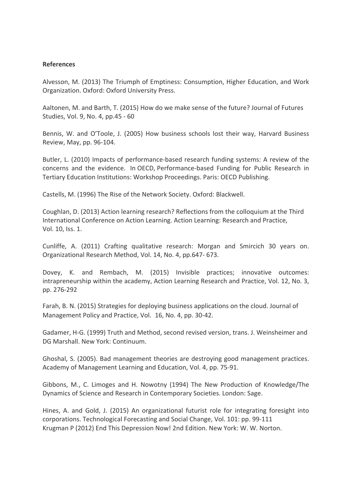### **References**

Alvesson, M. (2013) The Triumph of Emptiness: Consumption, Higher Education, and Work Organization. Oxford: Oxford University Press.

Aaltonen, M. and Barth, T. (2015) How do we make sense of the future? Journal of Futures Studies, Vol. 9, No. 4, pp.45 - 60

Bennis, W. and O'Toole, J. (2005) How business schools lost their way, Harvard Business Review, May, pp. 96-104.

Butler, L. (2010) Impacts of performance-based research funding systems: A review of the concerns and the evidence. In OECD, Performance-based Funding for Public Research in Tertiary Education Institutions: Workshop Proceedings. Paris: OECD Publishing.

Castells, M. (1996) The Rise of the Network Society. Oxford: Blackwell.

Coughlan, D. (2013) [Action learning research? Reflections from the colloquium at the Third](http://www.tandfonline.com/doi/abs/10.1080/14767333.2012.759459)  [International Conference on Action Learning.](http://www.tandfonline.com/doi/abs/10.1080/14767333.2012.759459) [Action Learning: Research and Practice,](http://www.tandfonline.com/toc/calr20/10/1) Vol. 10, Iss. 1.

Cunliffe, A. (2011) Crafting qualitative research: Morgan and Smircich 30 years on. Organizational Research Method, Vol. 14, No. 4, pp.647- 673.

Dovey, K. and Rembach, M. (2015) Invisible practices; innovative outcomes: intrapreneurship within the academy, Action Learning Research and Practice, Vol. 12, No. 3, pp. 276-292

Farah, B. N. (2015) Strategies for deploying business applications on the cloud. Journal of Management Policy and Practice, Vol. 16, No. 4, pp. 30-42.

Gadamer, H-G. (1999) Truth and Method, second revised version, trans. J. Weinsheimer and DG Marshall. New York: Continuum.

Ghoshal, S. (2005). Bad management theories are destroying good management practices. Academy of Management Learning and Education, Vol. 4, pp. 75-91.

Gibbons, M., C. Limoges and H. Nowotny (1994) The New Production of Knowledge/The Dynamics of Science and Research in Contemporary Societies. London: Sage.

Hines, A. and Gold, J. (2015) An organizational futurist role for integrating foresight into corporations. [Technological Forecasting and Social Change,](http://www.sciencedirect.com/science/journal/00401625) Vol. 101: pp. 99-111 Krugman P (2012) End This Depression Now! 2nd Edition. New York: W. W. Norton.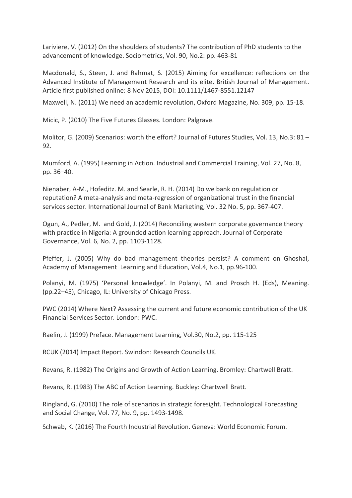Lariviere, V. (2012) On the shoulders of students? The contribution of PhD students to the advancement of knowledge. Sociometrics, Vol. 90, No.2: pp. 463-81

Macdonald, S., Steen, J. and Rahmat, S. (2015) Aiming for excellence: reflections on the Advanced Institute of Management Research and its elite. British Journal of Management. Article first published online: 8 Nov 2015, DOI: 10.1111/1467-8551.12147

Maxwell, N. (2011) We need an academic revolution, Oxford Magazine, No. 309, pp. 15-18.

Micic, P. (2010) The Five Futures Glasses. London: Palgrave.

Molitor, G. (2009) Scenarios: worth the effort? Journal of Futures Studies, Vol. 13, No.3: 81 – 92.

Mumford, A. (1995) Learning in Action. Industrial and Commercial Training, Vol. 27, No. 8, pp. 36–40.

Nienaber, A-M., Hofeditz. M. and Searle, R. H. (2014) Do we bank on regulation or reputation? A meta-analysis and meta-regression of organizational trust in the financial services sector. International Journal of Bank Marketing, Vol. 32 No. 5, pp. 367-407.

Ogun, A., Pedler, M. and Gold, J. (2014) Reconciling western corporate governance theory with practice in Nigeria: A grounded action learning approach. Journal of Corporate Governance, Vol. 6, No. 2, pp. 1103-1128.

Pfeffer, J. (2005) Why do bad management theories persist? A comment on Ghoshal, Academy of Management Learning and Education, Vol.4, No.1, pp.96-100.

Polanyi, M. (1975) 'Personal knowledge'. In Polanyi, M. and Prosch H. (Eds), Meaning. (pp.22–45), Chicago, IL: University of Chicago Press.

PWC (2014) Where Next? Assessing the current and future economic contribution of the UK Financial Services Sector. London: PWC.

Raelin, J. (1999) Preface. Management Learning, Vol.30, No.2, pp. 115-125

RCUK (2014) Impact Report. Swindon: Research Councils UK.

Revans, R. (1982) The Origins and Growth of Action Learning. Bromley: Chartwell Bratt.

Revans, R. (1983) The ABC of Action Learning. Buckley: Chartwell Bratt.

Ringland, G. (2010) The role of scenarios in strategic foresight. Technological Forecasting and Social Change, Vol. 77, No. 9, pp. 1493-1498.

Schwab, K. (2016) The Fourth Industrial Revolution. Geneva: World Economic Forum.